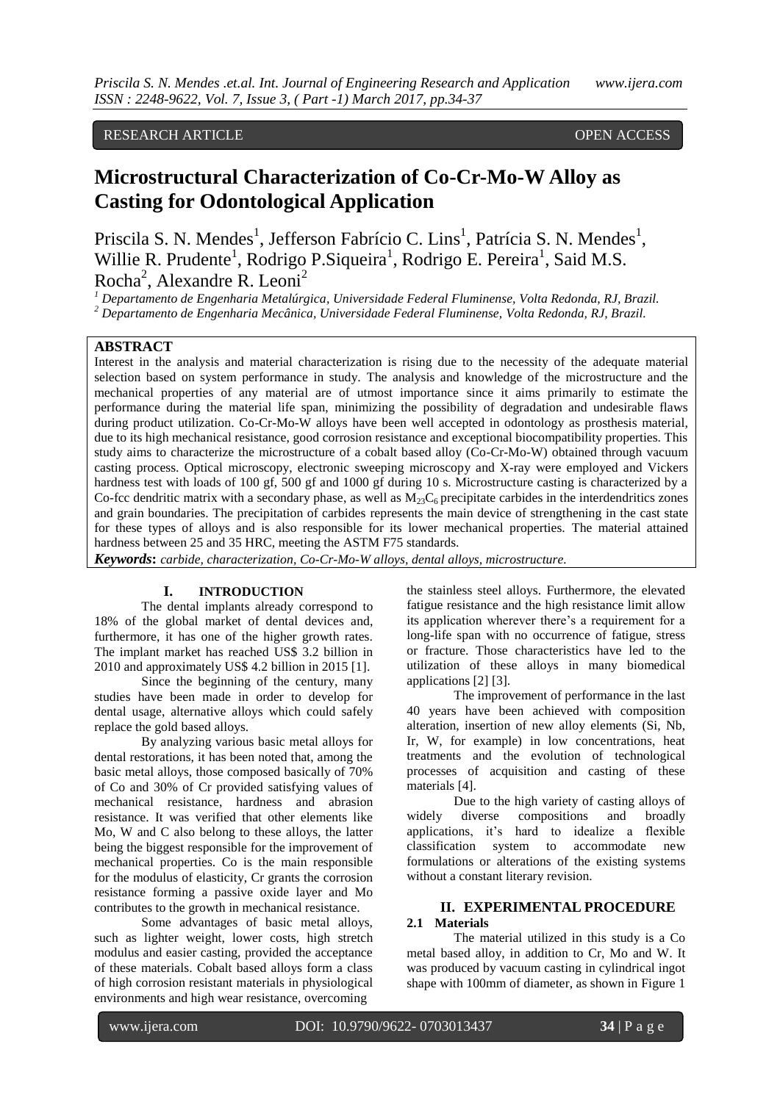# RESEARCH ARTICLE OPEN ACCESS

# **Microstructural Characterization of Co-Cr-Mo-W Alloy as Casting for Odontological Application**

Priscila S. N. Mendes<sup>1</sup>, Jefferson Fabrício C. Lins<sup>1</sup>, Patrícia S. N. Mendes<sup>1</sup>, Willie R. Prudente<sup>1</sup>, Rodrigo P. Siqueira<sup>1</sup>, Rodrigo E. Pereira<sup>1</sup>, Said M.S. Rocha<sup>2</sup>, Alexandre R. Leoni<sup>2</sup>

*<sup>1</sup> Departamento de Engenharia Metalúrgica, Universidade Federal Fluminense, Volta Redonda, RJ, Brazil.*

*<sup>2</sup> Departamento de Engenharia Mecânica, Universidade Federal Fluminense, Volta Redonda, RJ, Brazil.*

# **ABSTRACT**

Interest in the analysis and material characterization is rising due to the necessity of the adequate material selection based on system performance in study. The analysis and knowledge of the microstructure and the mechanical properties of any material are of utmost importance since it aims primarily to estimate the performance during the material life span, minimizing the possibility of degradation and undesirable flaws during product utilization. Co-Cr-Mo-W alloys have been well accepted in odontology as prosthesis material, due to its high mechanical resistance, good corrosion resistance and exceptional biocompatibility properties. This study aims to characterize the microstructure of a cobalt based alloy (Co-Cr-Mo-W) obtained through vacuum casting process. Optical microscopy, electronic sweeping microscopy and X-ray were employed and Vickers hardness test with loads of 100 gf, 500 gf and 1000 gf during 10 s. Microstructure casting is characterized by a Co-fcc dendritic matrix with a secondary phase, as well as  $M_{23}C_6$  precipitate carbides in the interdendritics zones and grain boundaries. The precipitation of carbides represents the main device of strengthening in the cast state for these types of alloys and is also responsible for its lower mechanical properties. The material attained hardness between 25 and 35 HRC, meeting the ASTM F75 standards.

*Keywords***:** *carbide, characterization, Co-Cr-Mo-W alloys, dental alloys, microstructure.*

### **I. INTRODUCTION**

The dental implants already correspond to 18% of the global market of dental devices and, furthermore, it has one of the higher growth rates. The implant market has reached US\$ 3.2 billion in 2010 and approximately US\$ 4.2 billion in 2015 [1].

Since the beginning of the century, many studies have been made in order to develop for dental usage, alternative alloys which could safely replace the gold based alloys.

By analyzing various basic metal alloys for dental restorations, it has been noted that, among the basic metal alloys, those composed basically of 70% of Co and 30% of Cr provided satisfying values of mechanical resistance, hardness and abrasion resistance. It was verified that other elements like Mo, W and C also belong to these alloys, the latter being the biggest responsible for the improvement of mechanical properties. Co is the main responsible for the modulus of elasticity, Cr grants the corrosion resistance forming a passive oxide layer and Mo contributes to the growth in mechanical resistance.

Some advantages of basic metal alloys, such as lighter weight, lower costs, high stretch modulus and easier casting, provided the acceptance of these materials. Cobalt based alloys form a class of high corrosion resistant materials in physiological environments and high wear resistance, overcoming

the stainless steel alloys. Furthermore, the elevated fatigue resistance and the high resistance limit allow its application wherever there's a requirement for a long-life span with no occurrence of fatigue, stress or fracture. Those characteristics have led to the utilization of these alloys in many biomedical applications [2] [3].

The improvement of performance in the last 40 years have been achieved with composition alteration, insertion of new alloy elements (Si, Nb, Ir, W, for example) in low concentrations, heat treatments and the evolution of technological processes of acquisition and casting of these materials [4].

Due to the high variety of casting alloys of widely diverse compositions and broadly applications, it's hard to idealize a flexible classification system to accommodate new formulations or alterations of the existing systems without a constant literary revision.

# **II. EXPERIMENTAL PROCEDURE**

# **2.1 Materials**

The material utilized in this study is a Co metal based alloy, in addition to Cr, Mo and W. It was produced by vacuum casting in cylindrical ingot shape with 100mm of diameter, as shown in Figure 1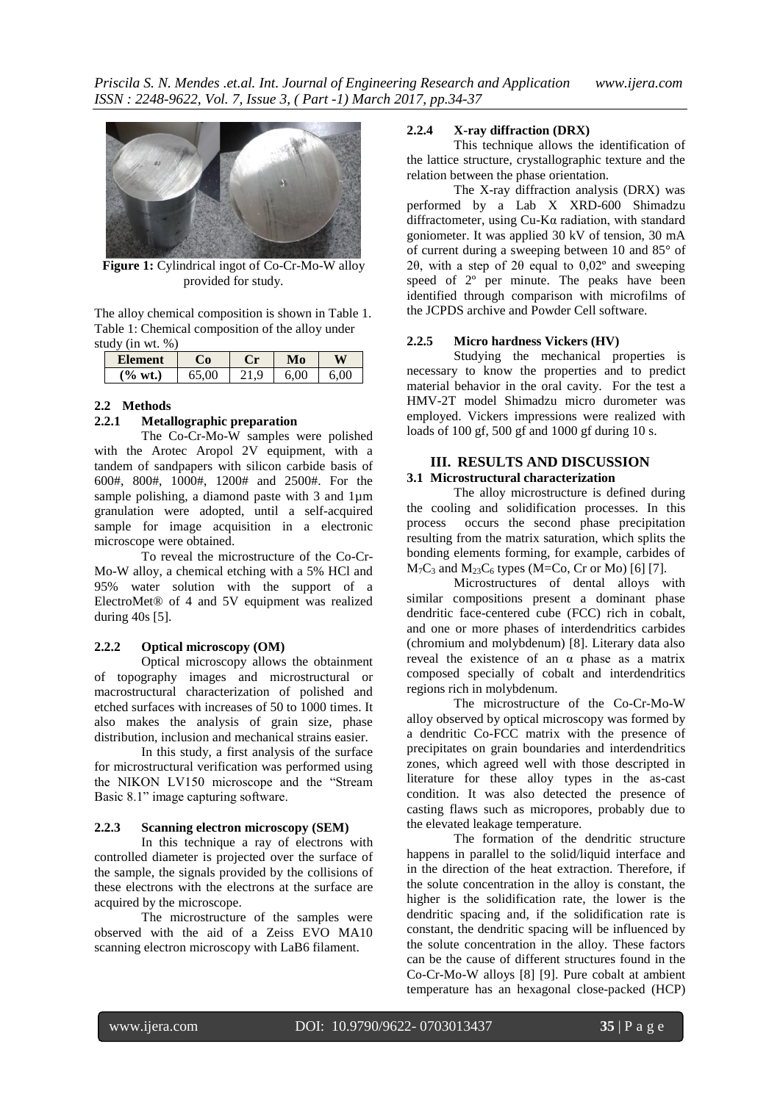

**Figure 1:** Cylindrical ingot of Co-Cr-Mo-W alloy provided for study.

<span id="page-1-0"></span>The alloy chemical composition is shown in Table 1. Table 1: Chemical composition of the alloy under study (in wt. %)

| Element               |       | $\blacksquare$ | To       | и   |
|-----------------------|-------|----------------|----------|-----|
| $\frac{6}{9}$<br>wt.) | 55.00 | Q              | $\Omega$ | .00 |

#### **2.2 Methods**

# **2.2.1 Metallographic preparation**

The Co-Cr-Mo-W samples were polished with the Arotec Aropol 2V equipment, with a tandem of sandpapers with silicon carbide basis of 600#, 800#, 1000#, 1200# and 2500#. For the sample polishing, a diamond paste with 3 and 1um granulation were adopted, until a self-acquired sample for image acquisition in a electronic microscope were obtained.

To reveal the microstructure of the Co-Cr-Mo-W alloy, a chemical etching with a 5% HCl and 95% water solution with the support of a ElectroMet® of 4 and 5V equipment was realized during 40s [5].

#### **2.2.2 Optical microscopy (OM)**

Optical microscopy allows the obtainment of topography images and microstructural or macrostructural characterization of polished and etched surfaces with increases of 50 to 1000 times. It also makes the analysis of grain size, phase distribution, inclusion and mechanical strains easier.

In this study, a first analysis of the surface for microstructural verification was performed using the NIKON LV150 microscope and the "Stream Basic 8.1" image capturing software.

#### **2.2.3 Scanning electron microscopy (SEM)**

In this technique a ray of electrons with controlled diameter is projected over the surface of the sample, the signals provided by the collisions of these electrons with the electrons at the surface are acquired by the microscope.

The microstructure of the samples were observed with the aid of a Zeiss EVO MA10 scanning electron microscopy with LaB6 filament.

# **2.2.4 X-ray diffraction (DRX)**

This technique allows the identification of the lattice structure, crystallographic texture and the relation between the phase orientation.

The X-ray diffraction analysis (DRX) was performed by a Lab X XRD-600 Shimadzu diffractometer, using Cu-Kα radiation, with standard goniometer. It was applied 30 kV of tension, 30 mA of current during a sweeping between 10 and 85° of 2θ, with a step of 2θ equal to 0,02º and sweeping speed of  $2^{\circ}$  per minute. The peaks have been identified through comparison with microfilms of the JCPDS archive and Powder Cell software.

#### **2.2.5 Micro hardness Vickers (HV)**

Studying the mechanical properties is necessary to know the properties and to predict material behavior in the oral cavity. For the test a HMV-2T model Shimadzu micro durometer was employed. Vickers impressions were realized with loads of 100 gf, 500 gf and 1000 gf during 10 s.

#### **III. RESULTS AND DISCUSSION 3.1 Microstructural characterization**

The alloy microstructure is defined during the cooling and solidification processes. In this process occurs the second phase precipitation resulting from the matrix saturation, which splits the bonding elements forming, for example, carbides of  $M_7C_3$  and  $M_{23}C_6$  types (M=Co, Cr or Mo) [6] [7].

Microstructures of dental alloys with similar compositions present a dominant phase dendritic face-centered cube (FCC) rich in cobalt, and one or more phases of interdendritics carbides (chromium and molybdenum) [8]. Literary data also reveal the existence of an  $\alpha$  phase as a matrix composed specially of cobalt and interdendritics regions rich in molybdenum.

The microstructure of the Co-Cr-Mo-W alloy observed by optical microscopy was formed by a dendritic Co-FCC matrix with the presence of precipitates on grain boundaries and interdendritics zones, which agreed well with those descripted in literature for these alloy types in the as-cast condition. It was also detected the presence of casting flaws such as micropores, probably due to the elevated leakage temperature.

The formation of the dendritic structure happens in parallel to the solid/liquid interface and in the direction of the heat extraction. Therefore, if the solute concentration in the alloy is constant, the higher is the solidification rate, the lower is the dendritic spacing and, if the solidification rate is constant, the dendritic spacing will be influenced by the solute concentration in the alloy. These factors can be the cause of different structures found in the Co-Cr-Mo-W alloys [8] [9]. Pure cobalt at ambient temperature has an hexagonal close-packed (HCP)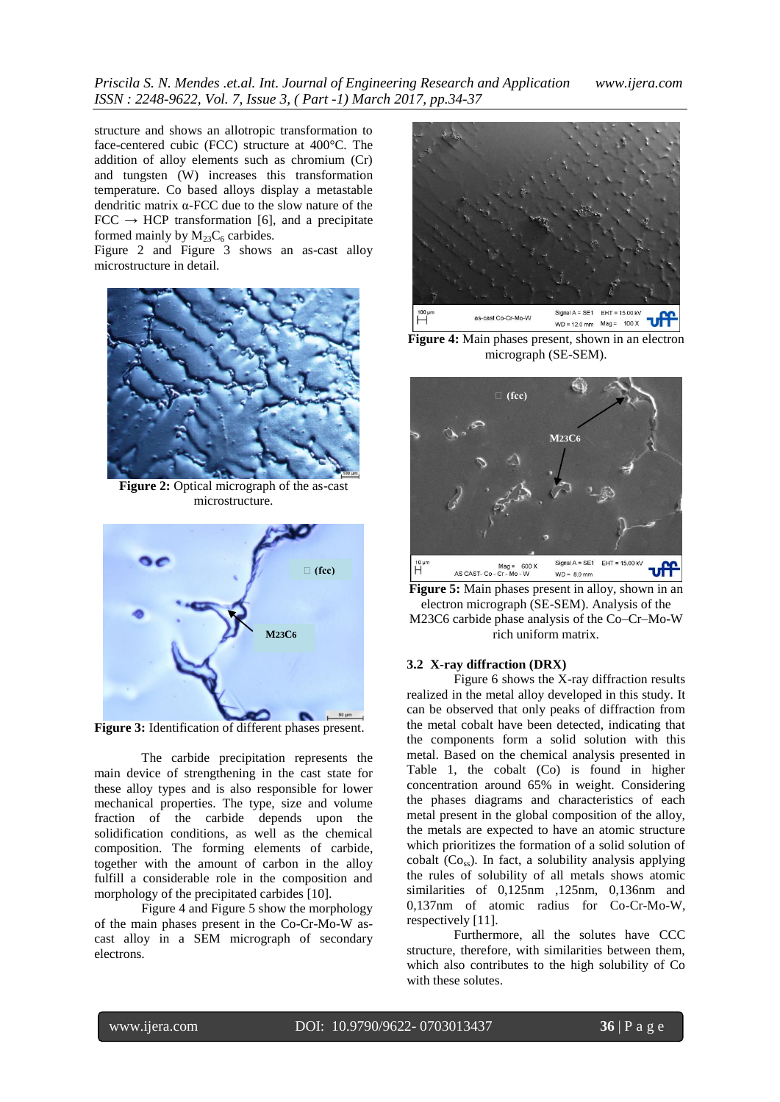structure and shows an allotropic transformation to face-centered cubic (FCC) structure at 400°C. The addition of alloy elements such as chromium (Cr) and tungsten (W) increases this transformation temperature. Co based alloys display a metastable dendritic matrix α-FCC due to the slow nature of the  $FCC \rightarrow HCP$  transformation [6], and a precipitate formed mainly by  $M_{23}C_6$  carbides.

[Figure 2](#page-2-0) and [Figure 3](#page-2-1) shows an as-cast alloy microstructure in detail.



**Figure 2:** Optical micrograph of the as-cast microstructure.

<span id="page-2-0"></span>

**Figure 3:** Identification of different phases present.

<span id="page-2-1"></span>The carbide precipitation represents the main device of strengthening in the cast state for these alloy types and is also responsible for lower mechanical properties. The type, size and volume fraction of the carbide depends upon the solidification conditions, as well as the chemical composition. The forming elements of carbide, together with the amount of carbon in the alloy fulfill a considerable role in the composition and morphology of the precipitated carbides [10].

[Figure 4](#page-2-2) and [Figure 5](#page-2-3) show the morphology of the main phases present in the Co-Cr-Mo-W ascast alloy in a SEM micrograph of secondary electrons.



**Figure 4:** Main phases present, shown in an electron micrograph (SE-SEM).

<span id="page-2-2"></span>

<span id="page-2-3"></span>**Figure 5:** Main phases present in alloy, shown in an electron micrograph (SE-SEM). Analysis of the M23C6 carbide phase analysis of the Co–Cr–Mo-W rich uniform matrix.

### **3.2 X-ray diffraction (DRX)**

Figure 6 shows the X-ray diffraction results realized in the metal alloy developed in this study. It can be observed that only peaks of diffraction from the metal cobalt have been detected, indicating that the components form a solid solution with this metal. Based on the chemical analysis presented in [Table 1,](#page-1-0) the cobalt (Co) is found in higher concentration around 65% in weight. Considering the phases diagrams and characteristics of each metal present in the global composition of the alloy, the metals are expected to have an atomic structure which prioritizes the formation of a solid solution of cobalt  $(C_{\text{Oss}})$ . In fact, a solubility analysis applying the rules of solubility of all metals shows atomic similarities of 0,125nm ,125nm, 0,136nm and 0,137nm of atomic radius for Co-Cr-Mo-W, respectively [11].

Furthermore, all the solutes have CCC structure, therefore, with similarities between them, which also contributes to the high solubility of Co with these solutes.